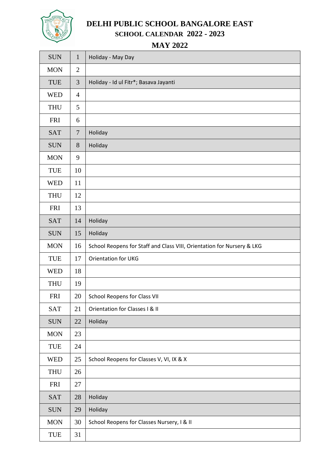

# **DELHI PUBLIC SCHOOL BANGALORE EAST SCHOOL CALENDAR 2022 - 2023**

**MAY 2022**

| <b>SUN</b> | $\mathbf{1}$   | Holiday - May Day                                                      |
|------------|----------------|------------------------------------------------------------------------|
| <b>MON</b> | $\overline{2}$ |                                                                        |
| TUE        | 3              | Holiday - Id ul Fitr*; Basava Jayanti                                  |
| <b>WED</b> | $\overline{4}$ |                                                                        |
| <b>THU</b> | 5              |                                                                        |
| <b>FRI</b> | 6              |                                                                        |
| <b>SAT</b> | $\overline{7}$ | Holiday                                                                |
| <b>SUN</b> | 8              | Holiday                                                                |
| <b>MON</b> | 9              |                                                                        |
| <b>TUE</b> | 10             |                                                                        |
| <b>WED</b> | 11             |                                                                        |
| <b>THU</b> | 12             |                                                                        |
| <b>FRI</b> | 13             |                                                                        |
| <b>SAT</b> | 14             | Holiday                                                                |
| <b>SUN</b> | 15             | Holiday                                                                |
| <b>MON</b> | 16             | School Reopens for Staff and Class VIII, Orientation for Nursery & LKG |
| <b>TUE</b> | 17             | <b>Orientation for UKG</b>                                             |
| <b>WED</b> | 18             |                                                                        |
| <b>THU</b> | 19             |                                                                        |
| <b>FRI</b> | 20             | <b>School Reopens for Class VII</b>                                    |
| <b>SAT</b> | 21             | Orientation for Classes I & II                                         |
| <b>SUN</b> | 22             | Holiday                                                                |
| <b>MON</b> | 23             |                                                                        |
| <b>TUE</b> | 24             |                                                                        |
| <b>WED</b> | 25             | School Reopens for Classes V, VI, IX & X                               |
| <b>THU</b> | 26             |                                                                        |
| <b>FRI</b> | 27             |                                                                        |
| <b>SAT</b> | 28             | Holiday                                                                |
| <b>SUN</b> | 29             | Holiday                                                                |
| <b>MON</b> | 30             | School Reopens for Classes Nursery, I & II                             |
| TUE        | 31             |                                                                        |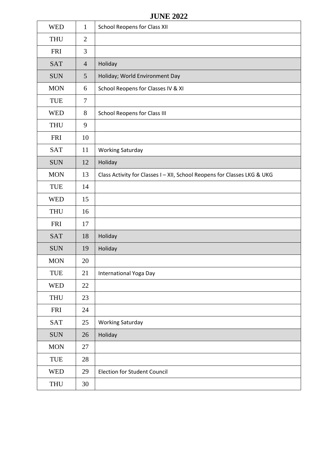### **JUNE 2022**

| <b>WED</b> | $\mathbf{1}$   | <b>School Reopens for Class XII</b>                                      |
|------------|----------------|--------------------------------------------------------------------------|
| <b>THU</b> | $\overline{2}$ |                                                                          |
| <b>FRI</b> | 3              |                                                                          |
| <b>SAT</b> | $\overline{4}$ | Holiday                                                                  |
| <b>SUN</b> | 5              | Holiday; World Environment Day                                           |
| <b>MON</b> | 6              | School Reopens for Classes IV & XI                                       |
| TUE        | $\overline{7}$ |                                                                          |
| <b>WED</b> | 8              | <b>School Reopens for Class III</b>                                      |
| <b>THU</b> | 9              |                                                                          |
| <b>FRI</b> | 10             |                                                                          |
| <b>SAT</b> | 11             | <b>Working Saturday</b>                                                  |
| <b>SUN</b> | 12             | Holiday                                                                  |
| <b>MON</b> | 13             | Class Activity for Classes I - XII, School Reopens for Classes LKG & UKG |
| TUE        | 14             |                                                                          |
| <b>WED</b> | 15             |                                                                          |
| <b>THU</b> | 16             |                                                                          |
| <b>FRI</b> | 17             |                                                                          |
| <b>SAT</b> | 18             | Holiday                                                                  |
| <b>SUN</b> | 19             | Holiday                                                                  |
| <b>MON</b> | 20             |                                                                          |
| TUE        | 21             | <b>International Yoga Day</b>                                            |
| <b>WED</b> | 22             |                                                                          |
| <b>THU</b> | 23             |                                                                          |
| FRI        | 24             |                                                                          |
| <b>SAT</b> | 25             | <b>Working Saturday</b>                                                  |
| <b>SUN</b> | 26             | Holiday                                                                  |
| <b>MON</b> | 27             |                                                                          |
| TUE        | 28             |                                                                          |
| <b>WED</b> | 29             | <b>Election for Student Council</b>                                      |
| <b>THU</b> | 30             |                                                                          |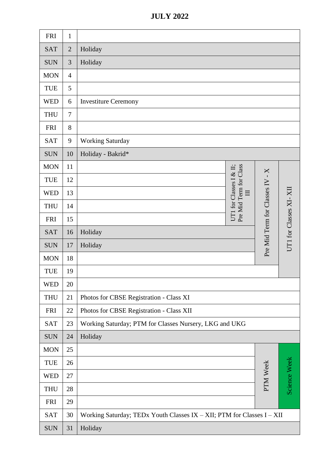|  | <b>JULY 2022</b> |
|--|------------------|
|  |                  |

| <b>FRI</b> | $\mathbf{1}$   |                                                                        |                                                   |                             |                        |
|------------|----------------|------------------------------------------------------------------------|---------------------------------------------------|-----------------------------|------------------------|
| <b>SAT</b> | $\overline{2}$ | Holiday                                                                |                                                   |                             |                        |
| <b>SUN</b> | 3              | Holiday                                                                |                                                   |                             |                        |
| <b>MON</b> | $\overline{4}$ |                                                                        |                                                   |                             |                        |
| TUE        | 5              |                                                                        |                                                   |                             |                        |
| <b>WED</b> | 6              | <b>Investiture Ceremony</b>                                            |                                                   |                             |                        |
| <b>THU</b> | $\tau$         |                                                                        |                                                   |                             |                        |
| <b>FRI</b> | 8              |                                                                        |                                                   |                             |                        |
| <b>SAT</b> | 9              | <b>Working Saturday</b>                                                |                                                   |                             |                        |
| <b>SUN</b> | 10             | Holiday - Bakrid*                                                      |                                                   |                             |                        |
| <b>MON</b> | 11             |                                                                        |                                                   | $X$ -                       |                        |
| <b>TUE</b> | 12             |                                                                        | Pre Mid Term for Class<br>UT1 for Classes I & II; |                             |                        |
| <b>WED</b> | 13             |                                                                        | $\Box$                                            | Pre Mid Term for Classes IV |                        |
| <b>THU</b> | 14             |                                                                        |                                                   |                             | UT1 for Classes XI-XII |
| <b>FRI</b> | 15             |                                                                        |                                                   |                             |                        |
| <b>SAT</b> | 16             | Holiday                                                                |                                                   |                             |                        |
| <b>SUN</b> | 17             | Holiday                                                                |                                                   |                             |                        |
| <b>MON</b> | 18             |                                                                        |                                                   |                             |                        |
| <b>TUE</b> | 19             |                                                                        |                                                   |                             |                        |
| <b>WED</b> | 20             |                                                                        |                                                   |                             |                        |
| <b>THU</b> | 21             | Photos for CBSE Registration - Class XI                                |                                                   |                             |                        |
| <b>FRI</b> | 22             | Photos for CBSE Registration - Class XII                               |                                                   |                             |                        |
| <b>SAT</b> | 23             | Working Saturday; PTM for Classes Nursery, LKG and UKG                 |                                                   |                             |                        |
| <b>SUN</b> | 24             | Holiday                                                                |                                                   |                             |                        |
| <b>MON</b> | 25             |                                                                        |                                                   |                             |                        |
| <b>TUE</b> | 26             |                                                                        |                                                   |                             |                        |
| <b>WED</b> | 27             |                                                                        |                                                   | PTM Week                    | Science Week           |
| <b>THU</b> | 28             |                                                                        |                                                   |                             |                        |
| <b>FRI</b> | 29             |                                                                        |                                                   |                             |                        |
| <b>SAT</b> | 30             | Working Saturday; TEDx Youth Classes IX - XII; PTM for Classes I - XII |                                                   |                             |                        |
| <b>SUN</b> | 31             | Holiday                                                                |                                                   |                             |                        |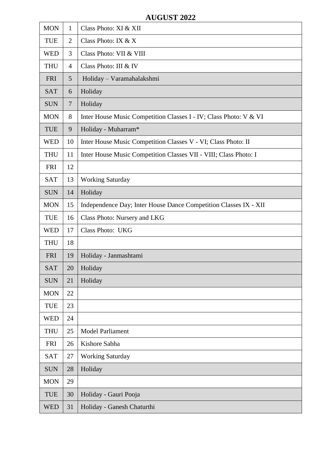## **AUGUST 2022**

| <b>MON</b> | 1              | Class Photo: XI & XII                                             |
|------------|----------------|-------------------------------------------------------------------|
| <b>TUE</b> | $\overline{2}$ | Class Photo: IX $& X$                                             |
| <b>WED</b> | 3              | Class Photo: VII & VIII                                           |
| <b>THU</b> | $\overline{4}$ | Class Photo: III & IV                                             |
| <b>FRI</b> | 5              | Holiday - Varamahalakshmi                                         |
| <b>SAT</b> | 6              | Holiday                                                           |
| <b>SUN</b> | $\overline{7}$ | Holiday                                                           |
| <b>MON</b> | 8              | Inter House Music Competition Classes I - IV; Class Photo: V & VI |
| <b>TUE</b> | 9              | Holiday - Muharram*                                               |
| <b>WED</b> | 10             | Inter House Music Competition Classes V - VI; Class Photo: II     |
| <b>THU</b> | 11             | Inter House Music Competition Classes VII - VIII; Class Photo: I  |
| <b>FRI</b> | 12             |                                                                   |
| <b>SAT</b> | 13             | <b>Working Saturday</b>                                           |
| <b>SUN</b> | 14             | Holiday                                                           |
| <b>MON</b> | 15             | Independence Day; Inter House Dance Competition Classes IX - XII  |
| <b>TUE</b> | 16             | Class Photo: Nursery and LKG                                      |
| <b>WED</b> | 17             | Class Photo: UKG                                                  |
| <b>THU</b> | 18             |                                                                   |
| <b>FRI</b> | 19             | Holiday - Janmashtami                                             |
| <b>SAT</b> | 20             | Holiday                                                           |
| <b>SUN</b> | 21             | Holiday                                                           |
| <b>MON</b> | 22             |                                                                   |
| <b>TUE</b> | 23             |                                                                   |
| <b>WED</b> | 24             |                                                                   |
| <b>THU</b> | 25             | <b>Model Parliament</b>                                           |
| <b>FRI</b> | 26             | Kishore Sabha                                                     |
| <b>SAT</b> | 27             | <b>Working Saturday</b>                                           |
| <b>SUN</b> | 28             | Holiday                                                           |
| <b>MON</b> | 29             |                                                                   |
| <b>TUE</b> | 30             | Holiday - Gauri Pooja                                             |
| <b>WED</b> | 31             | Holiday - Ganesh Chaturthi                                        |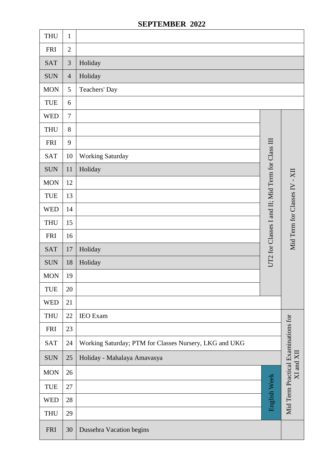# **SEPTEMBER 2022**

| <b>THU</b> | $\mathbf{1}$   |                                                        |                                                  |                                                  |
|------------|----------------|--------------------------------------------------------|--------------------------------------------------|--------------------------------------------------|
| <b>FRI</b> | $\overline{2}$ |                                                        |                                                  |                                                  |
| <b>SAT</b> | $\mathfrak{Z}$ | Holiday                                                |                                                  |                                                  |
| <b>SUN</b> | $\overline{4}$ | Holiday                                                |                                                  |                                                  |
| <b>MON</b> | 5              | Teachers' Day                                          |                                                  |                                                  |
| TUE        | 6              |                                                        |                                                  |                                                  |
| <b>WED</b> | $\overline{7}$ |                                                        |                                                  |                                                  |
| <b>THU</b> | 8              |                                                        |                                                  |                                                  |
| <b>FRI</b> | 9              |                                                        |                                                  |                                                  |
| <b>SAT</b> | 10             | <b>Working Saturday</b>                                |                                                  |                                                  |
| <b>SUN</b> | 11             | Holiday                                                | UT2 for Classes I and II; Mid Term for Class III |                                                  |
| <b>MON</b> | 12             |                                                        |                                                  | Mid Term for Classes IV - XI                     |
| TUE        | 13             |                                                        |                                                  |                                                  |
| <b>WED</b> | 14             |                                                        |                                                  |                                                  |
| <b>THU</b> | 15             |                                                        |                                                  |                                                  |
| <b>FRI</b> | 16             |                                                        |                                                  |                                                  |
| <b>SAT</b> | 17             | Holiday                                                |                                                  |                                                  |
| <b>SUN</b> | 18             | Holiday                                                |                                                  |                                                  |
| <b>MON</b> | 19             |                                                        |                                                  |                                                  |
| <b>TUE</b> | 20             |                                                        |                                                  |                                                  |
| <b>WED</b> | 21             |                                                        |                                                  |                                                  |
| <b>THU</b> | 22             | <b>IEO</b> Exam                                        |                                                  |                                                  |
| <b>FRI</b> | 23             |                                                        |                                                  |                                                  |
| <b>SAT</b> | 24             | Working Saturday; PTM for Classes Nursery, LKG and UKG |                                                  |                                                  |
| <b>SUN</b> | 25             | Holiday - Mahalaya Amavasya                            |                                                  | Mid Term Practical Examinations for<br>XI and XI |
| <b>MON</b> | 26             |                                                        |                                                  |                                                  |
| TUE        | 27             |                                                        | English Week                                     |                                                  |
| <b>WED</b> | 28             |                                                        |                                                  |                                                  |
| <b>THU</b> | 29             |                                                        |                                                  |                                                  |
| <b>FRI</b> | 30             | Dussehra Vacation begins                               |                                                  |                                                  |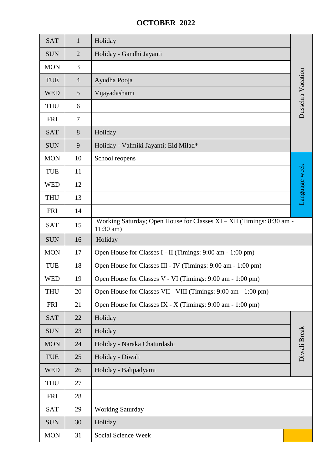## **OCTOBER 2022**

| <b>SAT</b> | $\mathbf{1}$   | Holiday                                                                              |                   |  |  |
|------------|----------------|--------------------------------------------------------------------------------------|-------------------|--|--|
| <b>SUN</b> | $\overline{2}$ | Holiday - Gandhi Jayanti                                                             |                   |  |  |
| <b>MON</b> | 3              |                                                                                      |                   |  |  |
| TUE        | $\overline{4}$ | Ayudha Pooja                                                                         | Dussehra Vacation |  |  |
| <b>WED</b> | 5              | Vijayadashami                                                                        |                   |  |  |
| <b>THU</b> | 6              |                                                                                      |                   |  |  |
| <b>FRI</b> | 7              |                                                                                      |                   |  |  |
| <b>SAT</b> | 8              | Holiday                                                                              |                   |  |  |
| <b>SUN</b> | 9              | Holiday - Valmiki Jayanti; Eid Milad*                                                |                   |  |  |
| <b>MON</b> | 10             | School reopens                                                                       |                   |  |  |
| TUE        | 11             |                                                                                      |                   |  |  |
| <b>WED</b> | 12             |                                                                                      |                   |  |  |
| <b>THU</b> | 13             |                                                                                      | Language week     |  |  |
| <b>FRI</b> | 14             |                                                                                      |                   |  |  |
| <b>SAT</b> | 15             | Working Saturday; Open House for Classes XI - XII (Timings: 8:30 am -<br>$11:30$ am) |                   |  |  |
| <b>SUN</b> | 16             | Holiday                                                                              |                   |  |  |
| <b>MON</b> | 17             | Open House for Classes I - II (Timings: 9:00 am - 1:00 pm)                           |                   |  |  |
| TUE        | 18             | Open House for Classes III - IV (Timings: 9:00 am - 1:00 pm)                         |                   |  |  |
| <b>WED</b> | 19             | Open House for Classes V - VI (Timings: 9:00 am - 1:00 pm)                           |                   |  |  |
| <b>THU</b> | 20             | Open House for Classes VII - VIII (Timings: 9:00 am - 1:00 pm)                       |                   |  |  |
| <b>FRI</b> | 21             | Open House for Classes IX - X (Timings: 9:00 am - 1:00 pm)                           |                   |  |  |
| <b>SAT</b> | 22             | Holiday                                                                              |                   |  |  |
| <b>SUN</b> | 23             | Holiday                                                                              |                   |  |  |
| <b>MON</b> | 24             | Holiday - Naraka Chaturdashi                                                         | Diwali Break      |  |  |
| TUE        | 25             | Holiday - Diwali                                                                     |                   |  |  |
| <b>WED</b> | 26             | Holiday - Balipadyami                                                                |                   |  |  |
| <b>THU</b> | 27             |                                                                                      |                   |  |  |
| <b>FRI</b> | 28             |                                                                                      |                   |  |  |
| <b>SAT</b> | 29             | <b>Working Saturday</b>                                                              |                   |  |  |
| <b>SUN</b> | 30             | Holiday                                                                              |                   |  |  |
| <b>MON</b> | 31             | Social Science Week                                                                  |                   |  |  |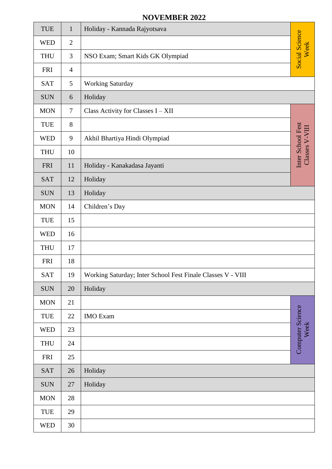### **NOVEMBER 2022**

| TUE        | $\mathbf{1}$   | Holiday - Kannada Rajyotsava                                |                                     |
|------------|----------------|-------------------------------------------------------------|-------------------------------------|
| <b>WED</b> | $\overline{2}$ |                                                             | <b>Social Science</b><br>Week       |
| <b>THU</b> | $\mathfrak{Z}$ | NSO Exam; Smart Kids GK Olympiad                            |                                     |
| <b>FRI</b> | $\overline{4}$ |                                                             |                                     |
| <b>SAT</b> | 5              | <b>Working Saturday</b>                                     |                                     |
| <b>SUN</b> | 6              | Holiday                                                     |                                     |
| <b>MON</b> | $\overline{7}$ | Class Activity for Classes I - XII                          |                                     |
| TUE        | 8              |                                                             |                                     |
| <b>WED</b> | 9              | Akhil Bhartiya Hindi Olympiad                               | Inter School Fest<br>Classes V-VIII |
| <b>THU</b> | 10             |                                                             |                                     |
| <b>FRI</b> | 11             | Holiday - Kanakadasa Jayanti                                |                                     |
| <b>SAT</b> | 12             | Holiday                                                     |                                     |
| <b>SUN</b> | 13             | Holiday                                                     |                                     |
| <b>MON</b> | 14             | Children's Day                                              |                                     |
| <b>TUE</b> | 15             |                                                             |                                     |
| <b>WED</b> | 16             |                                                             |                                     |
| <b>THU</b> | 17             |                                                             |                                     |
| <b>FRI</b> | 18             |                                                             |                                     |
| <b>SAT</b> | 19             | Working Saturday; Inter School Fest Finale Classes V - VIII |                                     |
| <b>SUN</b> | 20             | Holiday                                                     |                                     |
| <b>MON</b> | 21             |                                                             |                                     |
| TUE        | 22             | <b>IMO</b> Exam                                             | Computer Science                    |
| <b>WED</b> | 23             |                                                             | Week                                |
| <b>THU</b> | 24             |                                                             |                                     |
| <b>FRI</b> | 25             |                                                             |                                     |
| <b>SAT</b> | 26             | Holiday                                                     |                                     |
| <b>SUN</b> | 27             | Holiday                                                     |                                     |
| <b>MON</b> | 28             |                                                             |                                     |
| TUE        | 29             |                                                             |                                     |
| <b>WED</b> | 30             |                                                             |                                     |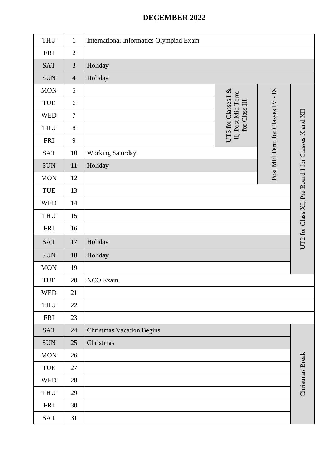## **DECEMBER 2022**

| <b>THU</b> | $\mathbf{1}$   | International Informatics Olympiad Exam |                                                           |                                   |                                                     |
|------------|----------------|-----------------------------------------|-----------------------------------------------------------|-----------------------------------|-----------------------------------------------------|
| <b>FRI</b> | $\overline{2}$ |                                         |                                                           |                                   |                                                     |
| <b>SAT</b> | $\mathfrak{Z}$ | Holiday                                 |                                                           |                                   |                                                     |
| <b>SUN</b> | $\overline{4}$ | Holiday                                 |                                                           |                                   |                                                     |
| <b>MON</b> | 5              |                                         |                                                           |                                   |                                                     |
| TUE        | 6              |                                         |                                                           |                                   |                                                     |
| <b>WED</b> | $\tau$         |                                         | UT3 for Classes I &<br>II; Post Mid Term<br>for Class III |                                   |                                                     |
| <b>THU</b> | 8              |                                         |                                                           |                                   |                                                     |
| <b>FRI</b> | 9              |                                         |                                                           |                                   |                                                     |
| <b>SAT</b> | 10             | <b>Working Saturday</b>                 |                                                           |                                   |                                                     |
| <b>SUN</b> | 11             | Holiday                                 |                                                           | Post Mid Term for Classes IV - IX |                                                     |
| <b>MON</b> | 12             |                                         |                                                           |                                   |                                                     |
| TUE        | 13             |                                         |                                                           |                                   |                                                     |
| <b>WED</b> | 14             |                                         |                                                           |                                   |                                                     |
| <b>THU</b> | 15             |                                         |                                                           |                                   |                                                     |
| <b>FRI</b> | 16             |                                         |                                                           |                                   |                                                     |
| <b>SAT</b> | $17\,$         | Holiday                                 |                                                           |                                   | UT2 for Class XI; Pre Board I for Classes X and XII |
| <b>SUN</b> | 18             | Holiday                                 |                                                           |                                   |                                                     |
| <b>MON</b> | 19             |                                         |                                                           |                                   |                                                     |
| TUE        | 20             | NCO Exam                                |                                                           |                                   |                                                     |
| <b>WED</b> | 21             |                                         |                                                           |                                   |                                                     |
| <b>THU</b> | 22             |                                         |                                                           |                                   |                                                     |
| <b>FRI</b> | 23             |                                         |                                                           |                                   |                                                     |
| <b>SAT</b> | 24             | <b>Christmas Vacation Begins</b>        |                                                           |                                   |                                                     |
| <b>SUN</b> | 25             | Christmas                               |                                                           |                                   |                                                     |
| $\rm{MON}$ | 26             |                                         |                                                           |                                   |                                                     |
| TUE        | 27             |                                         |                                                           |                                   |                                                     |
| <b>WED</b> | 28             |                                         |                                                           |                                   | Christmas Break                                     |
| <b>THU</b> | 29             |                                         |                                                           |                                   |                                                     |
| <b>FRI</b> | 30             |                                         |                                                           |                                   |                                                     |
| SAT        | 31             |                                         |                                                           |                                   |                                                     |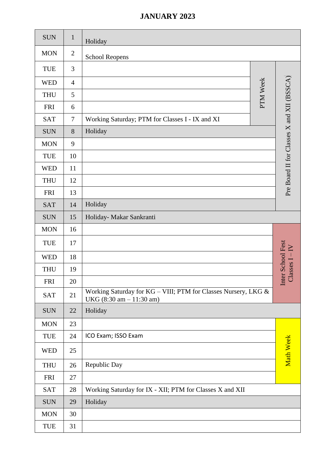### **JANUARY 2023**

| <b>SUN</b> | $\mathbf{1}$   | Holiday                                                                                                      |          |                                           |
|------------|----------------|--------------------------------------------------------------------------------------------------------------|----------|-------------------------------------------|
| <b>MON</b> | $\overline{2}$ | <b>School Reopens</b>                                                                                        |          |                                           |
| <b>TUE</b> | 3              |                                                                                                              |          |                                           |
| <b>WED</b> | $\overline{4}$ |                                                                                                              |          |                                           |
| <b>THU</b> | 5              |                                                                                                              | PTM Week | Pre Board II for Classes X and XII (BSSCA |
| <b>FRI</b> | 6              |                                                                                                              |          |                                           |
| <b>SAT</b> | 7              | Working Saturday; PTM for Classes I - IX and XI                                                              |          |                                           |
| <b>SUN</b> | 8              | Holiday                                                                                                      |          |                                           |
| <b>MON</b> | 9              |                                                                                                              |          |                                           |
| <b>TUE</b> | 10             |                                                                                                              |          |                                           |
| <b>WED</b> | 11             |                                                                                                              |          |                                           |
| <b>THU</b> | 12             |                                                                                                              |          |                                           |
| <b>FRI</b> | 13             |                                                                                                              |          |                                           |
| <b>SAT</b> | 14             | Holiday                                                                                                      |          |                                           |
| <b>SUN</b> | 15             | Holiday- Makar Sankranti                                                                                     |          |                                           |
| <b>MON</b> | 16             |                                                                                                              |          |                                           |
| <b>TUE</b> | 17             |                                                                                                              |          |                                           |
| <b>WED</b> | 18             |                                                                                                              |          |                                           |
| <b>THU</b> | 19             |                                                                                                              |          | Inter School Fest<br>Classes I – IV       |
| <b>FRI</b> | 20             |                                                                                                              |          |                                           |
| <b>SAT</b> | 21             | Working Saturday for KG - VIII; PTM for Classes Nursery, LKG &<br>UKG $(8:30 \text{ am} - 11:30 \text{ am})$ |          |                                           |
| <b>SUN</b> | 22             | Holiday                                                                                                      |          |                                           |
| <b>MON</b> | 23             |                                                                                                              |          |                                           |
| TUE        | 24             | ICO Exam; ISSO Exam                                                                                          |          |                                           |
| <b>WED</b> | 25             |                                                                                                              |          | Math Week                                 |
| <b>THU</b> | 26             | Republic Day                                                                                                 |          |                                           |
| <b>FRI</b> | 27             |                                                                                                              |          |                                           |
| <b>SAT</b> | 28             | Working Saturday for IX - XII; PTM for Classes X and XII                                                     |          |                                           |
| <b>SUN</b> | 29             | Holiday                                                                                                      |          |                                           |
| <b>MON</b> | 30             |                                                                                                              |          |                                           |
| TUE        | 31             |                                                                                                              |          |                                           |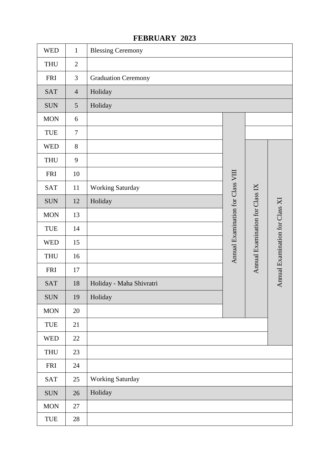| <b>WED</b> | $\mathbf{1}$   | <b>Blessing Ceremony</b>   |                                   |                                 |                                 |
|------------|----------------|----------------------------|-----------------------------------|---------------------------------|---------------------------------|
| <b>THU</b> | $\overline{2}$ |                            |                                   |                                 |                                 |
| <b>FRI</b> | 3              | <b>Graduation Ceremony</b> |                                   |                                 |                                 |
| <b>SAT</b> | $\overline{4}$ | Holiday                    |                                   |                                 |                                 |
| <b>SUN</b> | 5              | Holiday                    |                                   |                                 |                                 |
| <b>MON</b> | 6              |                            |                                   |                                 |                                 |
| TUE        | $\overline{7}$ |                            |                                   |                                 |                                 |
| <b>WED</b> | 8              |                            |                                   |                                 |                                 |
| <b>THU</b> | 9              |                            |                                   |                                 |                                 |
| <b>FRI</b> | 10             |                            |                                   |                                 |                                 |
| <b>SAT</b> | 11             | <b>Working Saturday</b>    |                                   |                                 |                                 |
| <b>SUN</b> | 12             | Holiday                    | Annual Examination for Class VIII | Annual Examination for Class IX |                                 |
| <b>MON</b> | 13             |                            |                                   |                                 | Annual Examination for Class XI |
| TUE        | 14             |                            |                                   |                                 |                                 |
| <b>WED</b> | 15             |                            |                                   |                                 |                                 |
| <b>THU</b> | 16             |                            |                                   |                                 |                                 |
| <b>FRI</b> | 17             |                            |                                   |                                 |                                 |
| <b>SAT</b> | 18             | Holiday - Maha Shivratri   |                                   |                                 |                                 |
| <b>SUN</b> | 19             | Holiday                    |                                   |                                 |                                 |
| <b>MON</b> | 20             |                            |                                   |                                 |                                 |
| TUE        | 21             |                            |                                   |                                 |                                 |
| <b>WED</b> | 22             |                            |                                   |                                 |                                 |
| <b>THU</b> | 23             |                            |                                   |                                 |                                 |
| <b>FRI</b> | 24             |                            |                                   |                                 |                                 |
| <b>SAT</b> | 25             | <b>Working Saturday</b>    |                                   |                                 |                                 |
| <b>SUN</b> | 26             | Holiday                    |                                   |                                 |                                 |
| <b>MON</b> | 27             |                            |                                   |                                 |                                 |
| TUE        | 28             |                            |                                   |                                 |                                 |

#### **FEBRUARY 2023**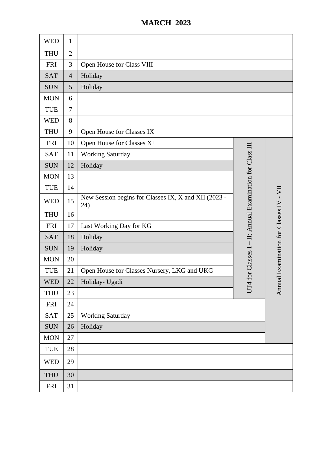## **MARCH 2023**

| <b>WED</b> | $\mathbf{1}$   |                                                             |                                                      |                              |
|------------|----------------|-------------------------------------------------------------|------------------------------------------------------|------------------------------|
| <b>THU</b> | $\overline{2}$ |                                                             |                                                      |                              |
| <b>FRI</b> | 3              | Open House for Class VIII                                   |                                                      |                              |
| <b>SAT</b> | $\overline{4}$ | Holiday                                                     |                                                      |                              |
| <b>SUN</b> | 5              | Holiday                                                     |                                                      |                              |
| <b>MON</b> | 6              |                                                             |                                                      |                              |
| <b>TUE</b> | $\overline{7}$ |                                                             |                                                      |                              |
| <b>WED</b> | 8              |                                                             |                                                      |                              |
| <b>THU</b> | 9              | Open House for Classes IX                                   |                                                      |                              |
| <b>FRI</b> | 10             | Open House for Classes XI                                   |                                                      |                              |
| <b>SAT</b> | 11             | <b>Working Saturday</b>                                     |                                                      |                              |
| <b>SUN</b> | 12             | Holiday                                                     |                                                      |                              |
| <b>MON</b> | 13             |                                                             |                                                      |                              |
| <b>TUE</b> | 14             |                                                             |                                                      |                              |
| <b>WED</b> | 15             | New Session begins for Classes IX, X and XII (2023 -<br>24) | for Classes I - II; Annual Examination for Class III | Examination for Classes IV - |
| <b>THU</b> | 16             |                                                             |                                                      |                              |
| <b>FRI</b> | 17             | Last Working Day for KG                                     |                                                      |                              |
| <b>SAT</b> | 18             | Holiday                                                     |                                                      |                              |
| <b>SUN</b> | 19             | Holiday                                                     |                                                      |                              |
| <b>MON</b> | 20             |                                                             |                                                      |                              |
| <b>TUE</b> | 21             | Open House for Classes Nursery, LKG and UKG                 |                                                      |                              |
| <b>WED</b> | 22             | Holiday- Ugadi                                              | $\overline{ }$                                       | $u$                          |
| <b>THU</b> | 23             |                                                             | Ë                                                    | Ann                          |
| <b>FRI</b> | 24             |                                                             |                                                      |                              |
| <b>SAT</b> | 25             | <b>Working Saturday</b>                                     |                                                      |                              |
| <b>SUN</b> | 26             | Holiday                                                     |                                                      |                              |
| <b>MON</b> | 27             |                                                             |                                                      |                              |
| <b>TUE</b> | 28             |                                                             |                                                      |                              |
| <b>WED</b> | 29             |                                                             |                                                      |                              |
| <b>THU</b> | 30             |                                                             |                                                      |                              |
| <b>FRI</b> | 31             |                                                             |                                                      |                              |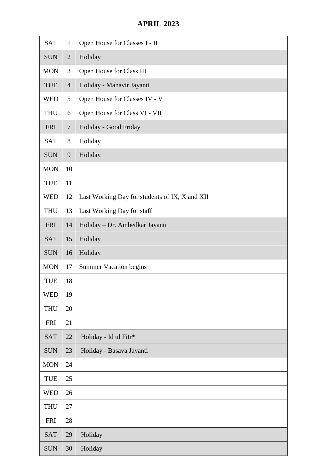## **APRIL 2023**

| <b>SAT</b> | $\mathbf{1}$   | Open House for Classes I - II                  |  |  |
|------------|----------------|------------------------------------------------|--|--|
| <b>SUN</b> | $\overline{2}$ | Holiday                                        |  |  |
| <b>MON</b> | 3              | Open House for Class III                       |  |  |
| TUE        | $\overline{4}$ | Holiday - Mahavir Jayanti                      |  |  |
| <b>WED</b> | 5              | Open House for Classes IV - V                  |  |  |
| <b>THU</b> | 6              | Open House for Class VI - VII                  |  |  |
| <b>FRI</b> | $\overline{7}$ | Holiday - Good Friday                          |  |  |
| <b>SAT</b> | 8              | Holiday                                        |  |  |
| <b>SUN</b> | 9              | Holiday                                        |  |  |
| <b>MON</b> | 10             |                                                |  |  |
| <b>TUE</b> | 11             |                                                |  |  |
| <b>WED</b> | 12             | Last Working Day for students of IX, X and XII |  |  |
| <b>THU</b> | 13             | Last Working Day for staff                     |  |  |
| <b>FRI</b> | 14             | Holiday - Dr. Ambedkar Jayanti                 |  |  |
| <b>SAT</b> | 15             | Holiday                                        |  |  |
| <b>SUN</b> | 16             | Holiday                                        |  |  |
| <b>MON</b> | 17             | <b>Summer Vacation begins</b>                  |  |  |
| TUE        | 18             |                                                |  |  |
| <b>WED</b> | 19             |                                                |  |  |
| <b>THU</b> | 20             |                                                |  |  |
| <b>FRI</b> | 21             |                                                |  |  |
| <b>SAT</b> | 22             | Holiday - Id ul Fitr*                          |  |  |
| <b>SUN</b> | 23             | Holiday - Basava Jayanti                       |  |  |
| <b>MON</b> | 24             |                                                |  |  |
| <b>TUE</b> | 25             |                                                |  |  |
| <b>WED</b> | 26             |                                                |  |  |
| <b>THU</b> | 27             |                                                |  |  |
|            |                |                                                |  |  |
| <b>FRI</b> | 28             |                                                |  |  |
| <b>SAT</b> | 29             | Holiday                                        |  |  |